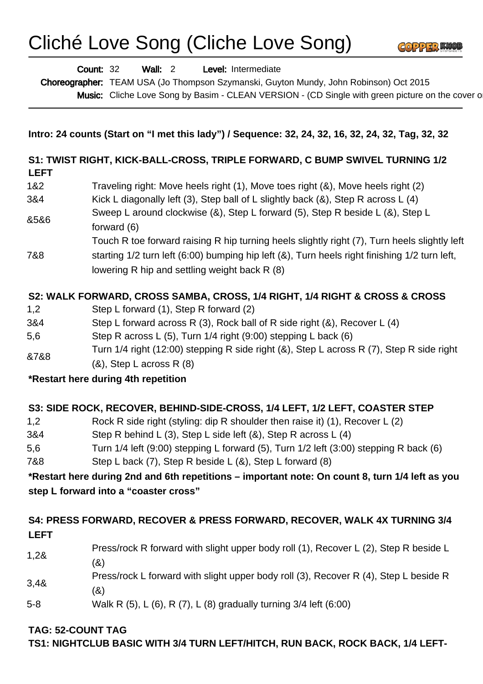# Cliché Love Song (Cliche Love Song)



Wall: 2 Level: Intermediate Count: 32

Choreographer: TEAM USA (Jo Thompson Szymanski, Guyton Mundy, John Robinson) Oct 2015

Music: Cliche Love Song by Basim - CLEAN VERSION - (CD Single with green picture on the cover or

#### **Intro: 24 counts (Start on "I met this lady") / Sequence: 32, 24, 32, 16, 32, 24, 32, Tag, 32, 32**

#### **S1: TWIST RIGHT, KICK-BALL-CROSS, TRIPLE FORWARD, C BUMP SWIVEL TURNING 1/2 LEFT**

- 1&2 Traveling right: Move heels right (1), Move toes right (&), Move heels right (2)
- 3&4 Kick L diagonally left (3), Step ball of L slightly back (&), Step R across L (4)
- &5&6 Sweep L around clockwise (&), Step L forward (5), Step R beside L (&), Step L forward (6)
- Touch R toe forward raising R hip turning heels slightly right (7), Turn heels slightly left
- 7&8 starting 1/2 turn left (6:00) bumping hip left (&), Turn heels right finishing 1/2 turn left, lowering R hip and settling weight back R (8)

## **S2: WALK FORWARD, CROSS SAMBA, CROSS, 1/4 RIGHT, 1/4 RIGHT & CROSS & CROSS**

- 1,2 Step L forward (1), Step R forward (2)
- 3&4 Step L forward across R (3), Rock ball of R side right (&), Recover L (4)
- 5,6 Step R across L (5), Turn 1/4 right (9:00) stepping L back (6)
- &7&8 Turn 1/4 right (12:00) stepping R side right (&), Step L across R (7), Step R side right
- $(8)$ , Step L across R  $(8)$

## **\*Restart here during 4th repetition**

## **S3: SIDE ROCK, RECOVER, BEHIND-SIDE-CROSS, 1/4 LEFT, 1/2 LEFT, COASTER STEP**

- 1,2 Rock R side right (styling: dip R shoulder then raise it) (1), Recover L (2)
- 3&4 Step R behind L (3), Step L side left (&), Step R across L (4)
- 5,6 Turn 1/4 left (9:00) stepping L forward (5), Turn 1/2 left (3:00) stepping R back (6)
- 7&8 Step L back (7), Step R beside L (&), Step L forward (8)

**\*Restart here during 2nd and 6th repetitions – important note: On count 8, turn 1/4 left as you step L forward into a "coaster cross"**

### **S4: PRESS FORWARD, RECOVER & PRESS FORWARD, RECOVER, WALK 4X TURNING 3/4 LEFT**

- 1,2& Press/rock R forward with slight upper body roll (1), Recover L (2), Step R beside L (&)
- 3,4& Press/rock L forward with slight upper body roll (3), Recover R (4), Step L beside R (&)
- 5-8 Walk R (5), L (6), R (7), L (8) gradually turning 3/4 left (6:00)

#### **TAG: 52-COUNT TAG**

**TS1: NIGHTCLUB BASIC WITH 3/4 TURN LEFT/HITCH, RUN BACK, ROCK BACK, 1/4 LEFT-**